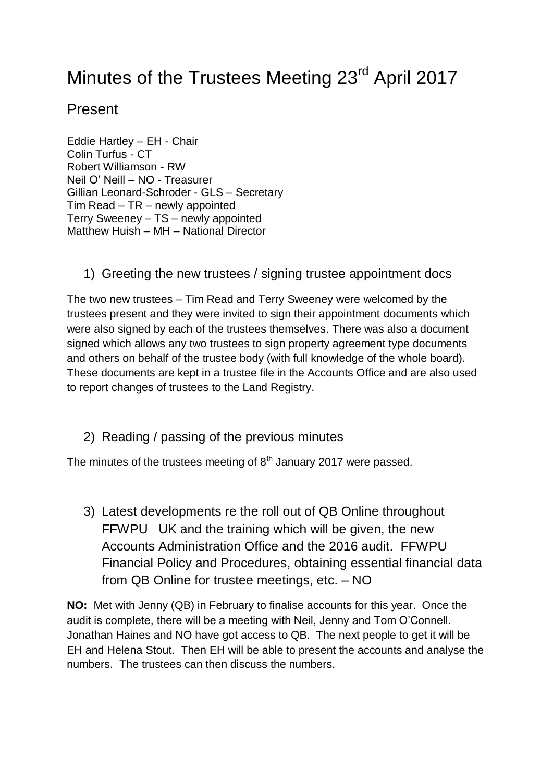## Minutes of the Trustees Meeting 23<sup>rd</sup> April 2017

## Present

Eddie Hartley – EH - Chair Colin Turfus - CT Robert Williamson - RW Neil O' Neill – NO - Treasurer Gillian Leonard-Schroder - GLS – Secretary Tim Read – TR – newly appointed Terry Sweeney – TS – newly appointed Matthew Huish – MH – National Director

1) Greeting the new trustees / signing trustee appointment docs

The two new trustees – Tim Read and Terry Sweeney were welcomed by the trustees present and they were invited to sign their appointment documents which were also signed by each of the trustees themselves. There was also a document signed which allows any two trustees to sign property agreement type documents and others on behalf of the trustee body (with full knowledge of the whole board). These documents are kept in a trustee file in the Accounts Office and are also used to report changes of trustees to the Land Registry.

2) Reading / passing of the previous minutes

The minutes of the trustees meeting of  $8<sup>th</sup>$  January 2017 were passed.

3) Latest developments re the roll out of QB Online throughout FFWPU UK and the training which will be given, the new Accounts Administration Office and the 2016 audit. FFWPU Financial Policy and Procedures, obtaining essential financial data from QB Online for trustee meetings, etc. – NO

**NO:** Met with Jenny (QB) in February to finalise accounts for this year. Once the audit is complete, there will be a meeting with Neil, Jenny and Tom O'Connell. Jonathan Haines and NO have got access to QB. The next people to get it will be EH and Helena Stout. Then EH will be able to present the accounts and analyse the numbers. The trustees can then discuss the numbers.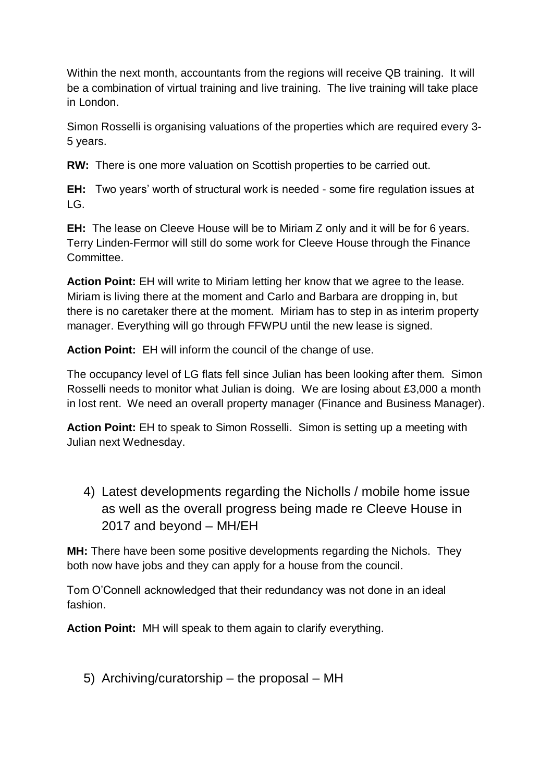Within the next month, accountants from the regions will receive QB training. It will be a combination of virtual training and live training. The live training will take place in London.

Simon Rosselli is organising valuations of the properties which are required every 3- 5 years.

**RW:** There is one more valuation on Scottish properties to be carried out.

**EH:** Two years' worth of structural work is needed - some fire regulation issues at  $LG$ .

**EH:** The lease on Cleeve House will be to Miriam Z only and it will be for 6 years. Terry Linden-Fermor will still do some work for Cleeve House through the Finance Committee.

**Action Point:** EH will write to Miriam letting her know that we agree to the lease. Miriam is living there at the moment and Carlo and Barbara are dropping in, but there is no caretaker there at the moment. Miriam has to step in as interim property manager. Everything will go through FFWPU until the new lease is signed.

**Action Point:** EH will inform the council of the change of use.

The occupancy level of LG flats fell since Julian has been looking after them. Simon Rosselli needs to monitor what Julian is doing. We are losing about £3,000 a month in lost rent. We need an overall property manager (Finance and Business Manager).

**Action Point:** EH to speak to Simon Rosselli. Simon is setting up a meeting with Julian next Wednesday.

4) Latest developments regarding the Nicholls / mobile home issue as well as the overall progress being made re Cleeve House in 2017 and beyond – MH/EH

**MH:** There have been some positive developments regarding the Nichols. They both now have jobs and they can apply for a house from the council.

Tom O'Connell acknowledged that their redundancy was not done in an ideal fashion.

**Action Point:** MH will speak to them again to clarify everything.

5) Archiving/curatorship – the proposal – MH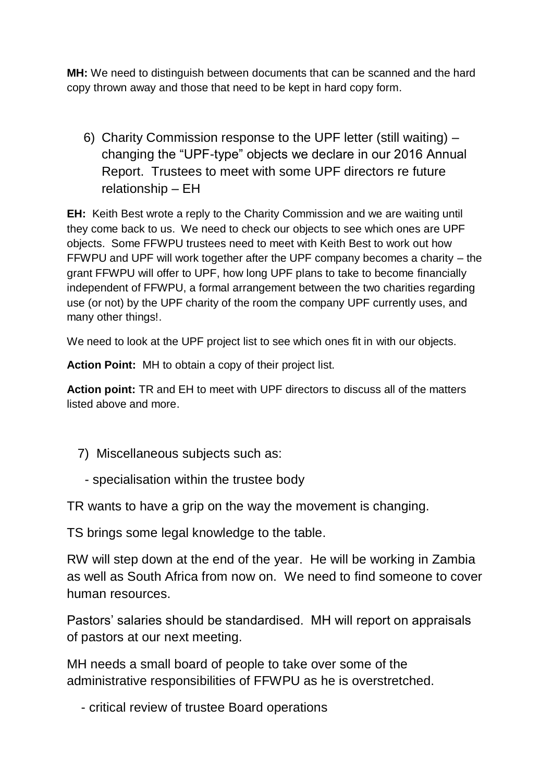**MH:** We need to distinguish between documents that can be scanned and the hard copy thrown away and those that need to be kept in hard copy form.

6) Charity Commission response to the UPF letter (still waiting) – changing the "UPF-type" objects we declare in our 2016 Annual Report. Trustees to meet with some UPF directors re future relationship – EH

**EH:** Keith Best wrote a reply to the Charity Commission and we are waiting until they come back to us. We need to check our objects to see which ones are UPF objects. Some FFWPU trustees need to meet with Keith Best to work out how FFWPU and UPF will work together after the UPF company becomes a charity – the grant FFWPU will offer to UPF, how long UPF plans to take to become financially independent of FFWPU, a formal arrangement between the two charities regarding use (or not) by the UPF charity of the room the company UPF currently uses, and many other things!.

We need to look at the UPF project list to see which ones fit in with our objects.

**Action Point:** MH to obtain a copy of their project list.

**Action point:** TR and EH to meet with UPF directors to discuss all of the matters listed above and more.

- 7) Miscellaneous subjects such as:
	- specialisation within the trustee body

TR wants to have a grip on the way the movement is changing.

TS brings some legal knowledge to the table.

RW will step down at the end of the year. He will be working in Zambia as well as South Africa from now on. We need to find someone to cover human resources.

Pastors' salaries should be standardised. MH will report on appraisals of pastors at our next meeting.

MH needs a small board of people to take over some of the administrative responsibilities of FFWPU as he is overstretched.

- critical review of trustee Board operations